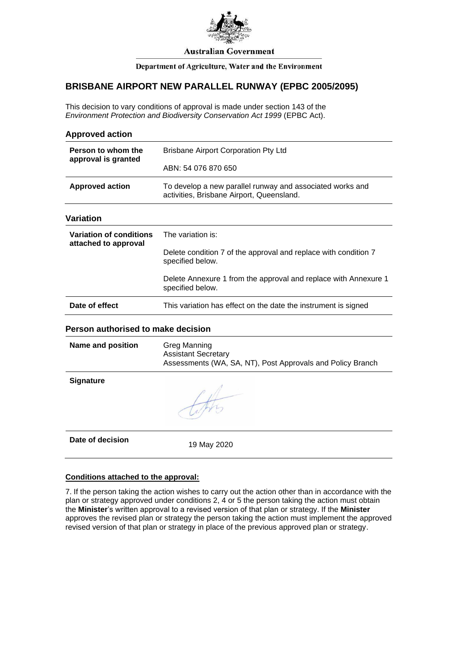

#### **Australian Government**

### Department of Agriculture, Water and the Environment

## **BRISBANE AIRPORT NEW PARALLEL RUNWAY (EPBC 2005/2095)**

This decision to vary conditions of approval is made under section 143 of the *Environment Protection and Biodiversity Conservation Act 1999* (EPBC Act).

| <b>Approved action</b>                                 |                                                                                                                 |
|--------------------------------------------------------|-----------------------------------------------------------------------------------------------------------------|
| Person to whom the<br>approval is granted              | <b>Brisbane Airport Corporation Pty Ltd</b>                                                                     |
|                                                        | ABN: 54 076 870 650                                                                                             |
| <b>Approved action</b>                                 | To develop a new parallel runway and associated works and<br>activities, Brisbane Airport, Queensland.          |
| <b>Variation</b>                                       |                                                                                                                 |
| <b>Variation of conditions</b><br>attached to approval | The variation is:                                                                                               |
|                                                        | Delete condition 7 of the approval and replace with condition 7<br>specified below.                             |
|                                                        | Delete Annexure 1 from the approval and replace with Annexure 1<br>specified below.                             |
| Date of effect                                         | This variation has effect on the date the instrument is signed                                                  |
| Person authorised to make decision                     |                                                                                                                 |
| <b>Name and position</b>                               | <b>Greg Manning</b><br><b>Assistant Secretary</b><br>Assessments (WA, SA, NT), Post Approvals and Policy Branch |
| Signature                                              | the                                                                                                             |
| Date of decision                                       | 19 May 2020                                                                                                     |
|                                                        |                                                                                                                 |

### **Conditions attached to the approval:**

7. If the person taking the action wishes to carry out the action other than in accordance with the plan or strategy approved under conditions 2, 4 or 5 the person taking the action must obtain the **Minister**'s written approval to a revised version of that plan or strategy. If the **Minister** approves the revised plan or strategy the person taking the action must implement the approved revised version of that plan or strategy in place of the previous approved plan or strategy.